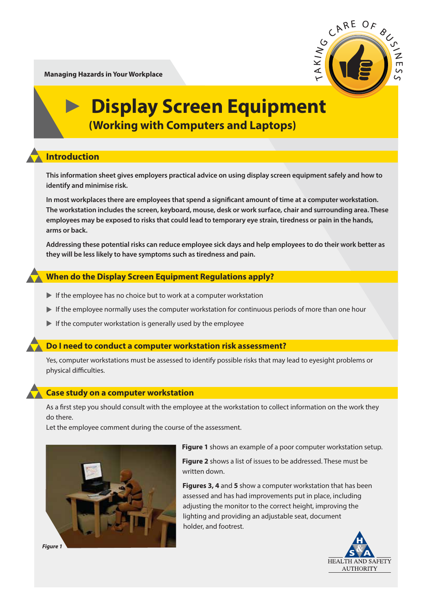**Managing Hazards in Your Workplace**



## **Display Screen Equipment (Working with Computers and Laptops)**

### **Introduction**

**This information sheet gives employers practical advice on using display screen equipment safely and how to identify and minimise risk.**

In most workplaces there are employees that spend a significant amount of time at a computer workstation. **The workstation includes the screen, keyboard, mouse, desk or work surface, chair and surrounding area. These employees may be exposed to risks that could lead to temporary eye strain, tiredness or pain in the hands, arms or back.** 

**Addressing these potential risks can reduce employee sick days and help employees to do their work better as they will be less likely to have symptoms such as tiredness and pain.** 

#### **When do the Display Screen Equipment Regulations apply?**

- $\blacktriangleright$  If the employee has no choice but to work at a computer workstation
- $\blacktriangleright$  If the employee normally uses the computer workstation for continuous periods of more than one hour
- $\blacktriangleright$  If the computer workstation is generally used by the employee

#### **Do I need to conduct a computer workstation risk assessment?**

Yes, computer workstations must be assessed to identify possible risks that may lead to eyesight problems or physical difficulties.

#### **Case study on a computer workstation**

As a first step you should consult with the employee at the workstation to collect information on the work they do there.

Let the employee comment during the course of the assessment.



**Figure 1** shows an example of a poor computer workstation setup.

**Figure 2** shows a list of issues to be addressed. These must be written down.

**Figures 3, 4** and **5** show a computer workstation that has been assessed and has had improvements put in place, including adjusting the monitor to the correct height, improving the lighting and providing an adjustable seat, document holder, and footrest.